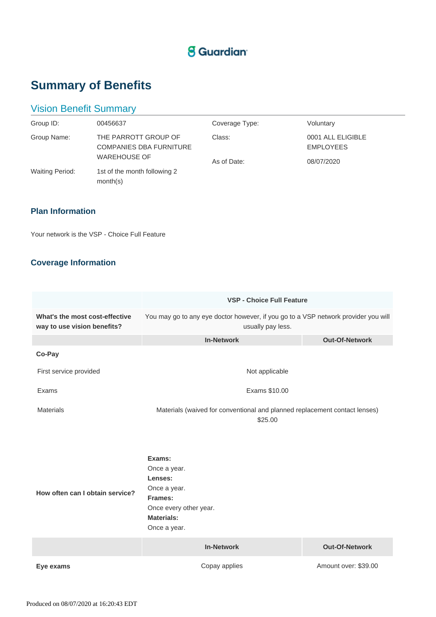## **S** Guardian

# **Summary of Benefits**

## Vision Benefit Summary

| Group ID:              | 00456637                                                                      | Coverage Type:        | Voluntary                                           |
|------------------------|-------------------------------------------------------------------------------|-----------------------|-----------------------------------------------------|
| Group Name:            | THE PARROTT GROUP OF<br><b>COMPANIES DBA FURNITURE</b><br><b>WAREHOUSE OF</b> | Class:<br>As of Date: | 0001 ALL ELIGIBLE<br><b>EMPLOYEES</b><br>08/07/2020 |
| <b>Waiting Period:</b> | 1st of the month following 2<br>month(s)                                      |                       |                                                     |

### **Plan Information**

Your network is the VSP - Choice Full Feature

### **Coverage Information**

|                                                               | <b>VSP - Choice Full Feature</b>                                                                                            |                       |  |
|---------------------------------------------------------------|-----------------------------------------------------------------------------------------------------------------------------|-----------------------|--|
| What's the most cost-effective<br>way to use vision benefits? | You may go to any eye doctor however, if you go to a VSP network provider you will<br>usually pay less.                     |                       |  |
|                                                               | <b>In-Network</b>                                                                                                           | <b>Out-Of-Network</b> |  |
| Co-Pay                                                        |                                                                                                                             |                       |  |
| First service provided                                        | Not applicable                                                                                                              |                       |  |
| Exams                                                         | Exams \$10.00                                                                                                               |                       |  |
| <b>Materials</b>                                              | Materials (waived for conventional and planned replacement contact lenses)<br>\$25.00                                       |                       |  |
| How often can I obtain service?                               | Exams:<br>Once a year.<br>Lenses:<br>Once a year.<br>Frames:<br>Once every other year.<br><b>Materials:</b><br>Once a year. |                       |  |
|                                                               | <b>In-Network</b>                                                                                                           | <b>Out-Of-Network</b> |  |
| Eye exams                                                     | Copay applies                                                                                                               | Amount over: \$39.00  |  |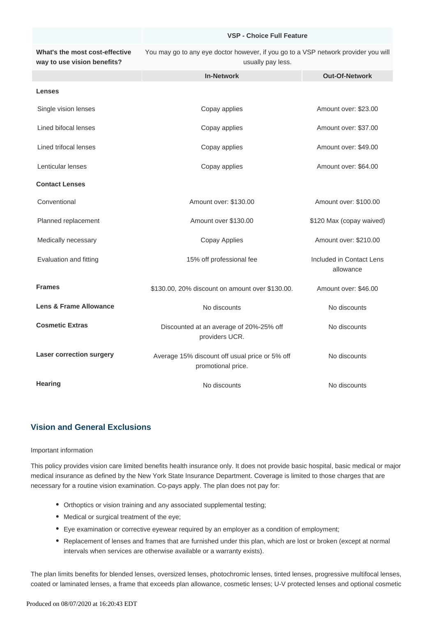#### **VSP - Choice Full Feature**

**What's the most cost-effective way to use vision benefits?** You may go to any eye doctor however, if you go to a VSP network provider you will usually pay less.

|                          | <b>In-Network</b>                                                    | <b>Out-Of-Network</b>                 |
|--------------------------|----------------------------------------------------------------------|---------------------------------------|
| <b>Lenses</b>            |                                                                      |                                       |
| Single vision lenses     | Copay applies                                                        | Amount over: \$23.00                  |
| Lined bifocal lenses     | Copay applies                                                        | Amount over: \$37.00                  |
| Lined trifocal lenses    | Copay applies                                                        | Amount over: \$49.00                  |
| Lenticular lenses        | Copay applies                                                        | Amount over: \$64.00                  |
| <b>Contact Lenses</b>    |                                                                      |                                       |
| Conventional             | Amount over: \$130.00                                                | Amount over: \$100.00                 |
| Planned replacement      | Amount over \$130.00                                                 | \$120 Max (copay waived)              |
| Medically necessary      | Copay Applies                                                        | Amount over: \$210.00                 |
| Evaluation and fitting   | 15% off professional fee                                             | Included in Contact Lens<br>allowance |
| <b>Frames</b>            | \$130.00, 20% discount on amount over \$130.00.                      | Amount over: \$46.00                  |
| Lens & Frame Allowance   | No discounts                                                         | No discounts                          |
| <b>Cosmetic Extras</b>   | Discounted at an average of 20%-25% off<br>providers UCR.            | No discounts                          |
| Laser correction surgery | Average 15% discount off usual price or 5% off<br>promotional price. | No discounts                          |
| <b>Hearing</b>           | No discounts                                                         | No discounts                          |

#### **Vision and General Exclusions**

#### Important information

This policy provides vision care limited benefits health insurance only. It does not provide basic hospital, basic medical or major medical insurance as defined by the New York State Insurance Department. Coverage is limited to those charges that are necessary for a routine vision examination. Co-pays apply. The plan does not pay for:

- Orthoptics or vision training and any associated supplemental testing;
- Medical or surgical treatment of the eye;
- Eye examination or corrective eyewear required by an employer as a condition of employment;
- Replacement of lenses and frames that are furnished under this plan, which are lost or broken (except at normal intervals when services are otherwise available or a warranty exists).

The plan limits benefits for blended lenses, oversized lenses, photochromic lenses, tinted lenses, progressive multifocal lenses, coated or laminated lenses, a frame that exceeds plan allowance, cosmetic lenses; U-V protected lenses and optional cosmetic